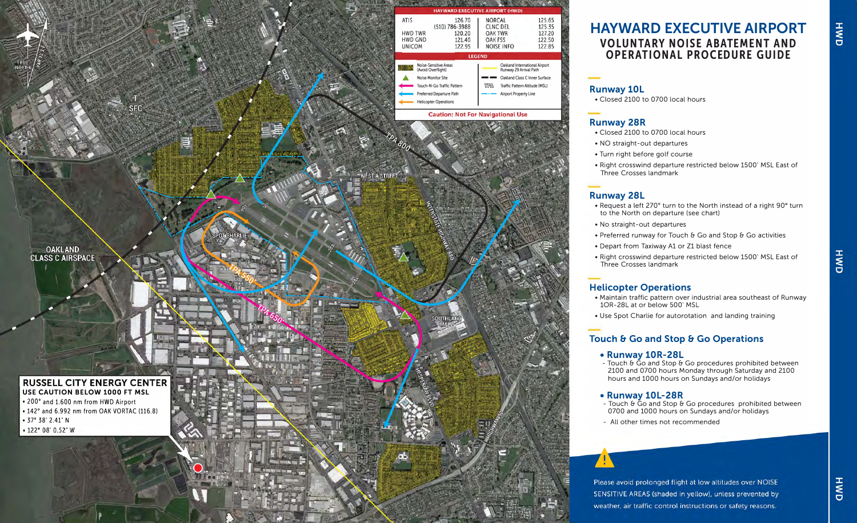

## **HAYWARD EXECUTIVE AIRPORT VOLUNTARY NOISE ABATEMENT AND OPERATIONAL PROCEDURE GUIDE**

### **Runway 10L**

• Closed 2100 to 0700 local hours

## **Runway 28R**

- Closed 2100 to 0700 local hours
- NO straight-out departures
- Turn right before golf course
- Right crosswind departure restricted below 1500' MSL East of Three Crosses landmark

## **Runway 28L**

- Request a left 270' turn to the North instead of a right 90° turn to the North on departure (see chart)
- No straight-out departures
- Preferred runway for Touch & Go and Stop & Go activities
- Depart from Taxiway A1 or Z1 blast fence
- Right crosswind departure restricted below 1500' MSL East of Three Crosses landmark

## **Helicopter Operations**

- Maintain traffic pattern over industrial area southeast of Runway 1OR-28L at or below 500' MSL
- Use Spot Charlie for autorotation and landing training

# **Touch & Go and Stop & Go Operations<br>• <b>Runway 10R-28L**<br>- Touch & Go and Stop & Go procedures prohibited between

2100 and 0700 hours Monday through Saturday and 2100 hours and 1000 hours on Sundays and/or holidays

- **• Runway 10L-28R** Touch & Go and Stop & Go procedures prohibited between 0700 and 1000 hours on Sundays and/or holidays
- All other times not recommended

Please avoid prolonged flight at low altitudes over NOISE SENSITIVE AREAS (shaded in yellow), unless prevented by weather, air traffic control instructions or safety reasons.

HWD